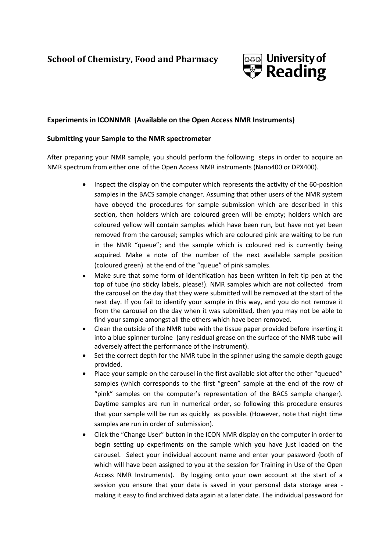# **School of Chemistry, Food and Pharmacy**



## **Experiments in ICONNMR (Available on the Open Access NMR Instruments)**

#### **Submitting your Sample to the NMR spectrometer**

After preparing your NMR sample, you should perform the following steps in order to acquire an NMR spectrum from either one of the Open Access NMR instruments (Nano400 or DPX400).

- Inspect the display on the computer which represents the activity of the 60-position samples in the BACS sample changer. Assuming that other users of the NMR system have obeyed the procedures for sample submission which are described in this section, then holders which are coloured green will be empty; holders which are coloured yellow will contain samples which have been run, but have not yet been removed from the carousel; samples which are coloured pink are waiting to be run in the NMR "queue"; and the sample which is coloured red is currently being acquired. Make a note of the number of the next available sample position (coloured green) at the end of the "queue" of pink samples.
- Make sure that some form of identification has been written in felt tip pen at the top of tube (no sticky labels, please!). NMR samples which are not collected from the carousel on the day that they were submitted will be removed at the start of the next day. If you fail to identify your sample in this way, and you do not remove it from the carousel on the day when it was submitted, then you may not be able to find your sample amongst all the others which have been removed.
- Clean the outside of the NMR tube with the tissue paper provided before inserting it into a blue spinner turbine (any residual grease on the surface of the NMR tube will adversely affect the performance of the instrument).
- Set the correct depth for the NMR tube in the spinner using the sample depth gauge provided.
- Place your sample on the carousel in the first available slot after the other "queued" samples (which corresponds to the first "green" sample at the end of the row of "pink" samples on the computer's representation of the BACS sample changer). Daytime samples are run in numerical order, so following this procedure ensures that your sample will be run as quickly as possible. (However, note that night time samples are run in order of submission).
- Click the "Change User" button in the ICON NMR display on the computer in order to begin setting up experiments on the sample which you have just loaded on the carousel. Select your individual account name and enter your password (both of which will have been assigned to you at the session for Training in Use of the Open Access NMR Instruments). By logging onto your own account at the start of a session you ensure that your data is saved in your personal data storage area making it easy to find archived data again at a later date. The individual password for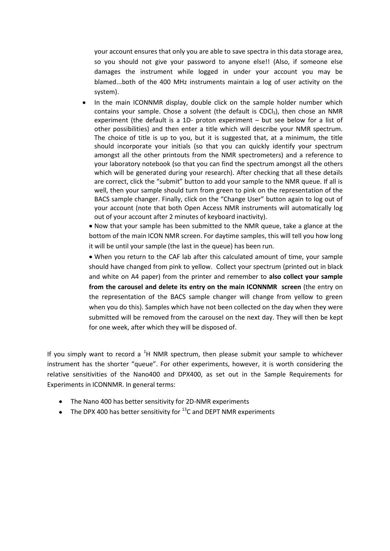your account ensures that only you are able to save spectra in this data storage area, so you should not give your password to anyone else!! (Also, if someone else damages the instrument while logged in under your account you may be blamed...both of the 400 MHz instruments maintain a log of user activity on the system).

- In the main ICONNMR display, double click on the sample holder number which contains your sample. Chose a solvent (the default is  $CDCl<sub>3</sub>$ ), then chose an NMR experiment (the default is a 1D- proton experiment – but see below for a list of other possibilities) and then enter a title which will describe your NMR spectrum. The choice of title is up to you, but it is suggested that, at a minimum, the title should incorporate your initials (so that you can quickly identify your spectrum amongst all the other printouts from the NMR spectrometers) and a reference to your laboratory notebook (so that you can find the spectrum amongst all the others which will be generated during your research). After checking that all these details are correct, click the "submit" button to add your sample to the NMR queue. If all is well, then your sample should turn from green to pink on the representation of the BACS sample changer. Finally, click on the "Change User" button again to log out of your account (note that both Open Access NMR instruments will automatically log out of your account after 2 minutes of keyboard inactivity).
	- Now that your sample has been submitted to the NMR queue, take a glance at the bottom of the main ICON NMR screen. For daytime samples, this will tell you how long it will be until your sample (the last in the queue) has been run.

When you return to the CAF lab after this calculated amount of time, your sample should have changed from pink to yellow. Collect your spectrum (printed out in black and white on A4 paper) from the printer and remember to **also collect your sample from the carousel and delete its entry on the main ICONNMR screen** (the entry on the representation of the BACS sample changer will change from yellow to green when you do this). Samples which have not been collected on the day when they were submitted will be removed from the carousel on the next day. They will then be kept for one week, after which they will be disposed of.

If you simply want to record a  ${}^{1}H$  NMR spectrum, then please submit your sample to whichever instrument has the shorter "queue". For other experiments, however, it is worth considering the relative sensitivities of the Nano400 and DPX400, as set out in the Sample Requirements for Experiments in ICONNMR. In general terms:

- The Nano 400 has better sensitivity for 2D-NMR experiments
- The DPX 400 has better sensitivity for  $^{13}$ C and DEPT NMR experiments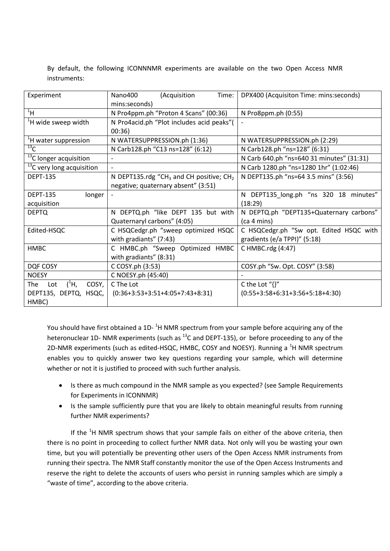By default, the following ICONNNMR experiments are available on the two Open Access NMR instruments:

| Experiment                            | Nano400<br>(Acquisition<br>Time:                                | DPX400 (Acquisiton Time: mins:seconds)    |
|---------------------------------------|-----------------------------------------------------------------|-------------------------------------------|
|                                       | mins:seconds)                                                   |                                           |
| $\overline{H}$                        | N Pro4ppm.ph "Proton 4 Scans" (00:36)                           | N Pro8ppm.ph (0:55)                       |
| <sup>1</sup> H wide sweep width       | N Pro4acid.ph "Plot includes acid peaks"(                       |                                           |
|                                       | 00:36                                                           |                                           |
| <sup>1</sup> H water suppression      | N WATERSUPPRESSION.ph (1:36)                                    | N WATERSUPPRESSION.ph (2:29)              |
| $^{13}$ C                             | N Carb128.ph "C13 ns=128" (6:12)                                | N Carb128.ph "ns=128" (6:31)              |
| <sup>13</sup> C longer acquisition    |                                                                 | N Carb 640.ph "ns=640 31 minutes" (31:31) |
| <sup>13</sup> C very long acquisition |                                                                 | N Carb 1280.ph "ns=1280 1hr" (1:02:46)    |
| <b>DEPT-135</b>                       | N DEPT135.rdg "CH <sub>3</sub> and CH positive; CH <sub>2</sub> | N DEPT135.ph "ns=64 3.5 mins" (3:56)      |
|                                       | negative; quaternary absent" (3:51)                             |                                           |
| <b>DEPT-135</b><br>longer             |                                                                 | N DEPT135_long.ph "ns 320 18 minutes"     |
| acquisition                           |                                                                 | (18:29)                                   |
| <b>DEPTQ</b>                          | N DEPTQ.ph "like DEPT 135 but with                              | N DEPTQ.ph "DEPT135+Quaternary carbons"   |
|                                       | Quaternaryl carbons" (4:05)                                     | (ca 4 mins)                               |
| Edited-HSQC                           | C HSQCedgr.ph "sweep optimized HSQC                             | C HSQCedgr.ph "Sw opt. Edited HSQC with   |
|                                       | with gradiants" (7:43)                                          | gradients (e/a TPPI)" (5:18)              |
| <b>HMBC</b>                           | C HMBC.ph "Sweep Optimized HMBC                                 | C HMBC.rdg (4:47)                         |
|                                       | with gradiants" (8:31)                                          |                                           |
| DQF COSY                              | C COSY.ph (3:53)                                                | COSY.ph "Sw. Opt. COSY" (3:58)            |
| <b>NOESY</b>                          | C NOESY.ph (45:40)                                              |                                           |
| $(^1H,$<br>COSY,<br>The<br>Lot        | C The Lot                                                       | C the Lot " $\{$ '                        |
| DEPT135, DEPTQ, HSQC,                 | $(0:36+3:53+3:51+4:05+7:43+8:31)$                               | $(0:55+3:58+6:31+3:56+5:18+4:30)$         |
| HMBC)                                 |                                                                 |                                           |

You should have first obtained a 1D-<sup>1</sup>H NMR spectrum from your sample before acquiring any of the heteronuclear 1D- NMR experiments (such as <sup>13</sup>C and DEPT-135), or before proceeding to any of the 2D-NMR experiments (such as edited-HSQC, HMBC, COSY and NOESY). Running a  ${}^{1}$ H NMR spectrum enables you to quickly answer two key questions regarding your sample, which will determine whether or not it is justified to proceed with such further analysis.

- Is there as much compound in the NMR sample as you expected? (see Sample Requirements for Experiments in ICONNMR)
- Is the sample sufficiently pure that you are likely to obtain meaningful results from running further NMR experiments?

If the  $1H$  NMR spectrum shows that your sample fails on either of the above criteria, then there is no point in proceeding to collect further NMR data. Not only will you be wasting your own time, but you will potentially be preventing other users of the Open Access NMR instruments from running their spectra. The NMR Staff constantly monitor the use of the Open Access Instruments and reserve the right to delete the accounts of users who persist in running samples which are simply a "waste of time", according to the above criteria.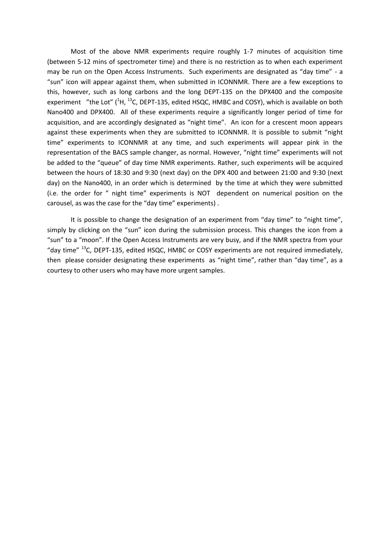Most of the above NMR experiments require roughly 1-7 minutes of acquisition time (between 5-12 mins of spectrometer time) and there is no restriction as to when each experiment may be run on the Open Access Instruments. Such experiments are designated as "day time" - a "sun" icon will appear against them, when submitted in ICONNMR. There are a few exceptions to this, however, such as long carbons and the long DEPT-135 on the DPX400 and the composite experiment "the Lot"  $(^1H, ^{13}C,$  DEPT-135, edited HSQC, HMBC and COSY), which is available on both Nano400 and DPX400. All of these experiments require a significantly longer period of time for acquisition, and are accordingly designated as "night time". An icon for a crescent moon appears against these experiments when they are submitted to ICONNMR. It is possible to submit "night time" experiments to ICONNMR at any time, and such experiments will appear pink in the representation of the BACS sample changer, as normal. However, "night time" experiments will not be added to the "queue" of day time NMR experiments. Rather, such experiments will be acquired between the hours of 18:30 and 9:30 (next day) on the DPX 400 and between 21:00 and 9:30 (next day) on the Nano400, in an order which is determined by the time at which they were submitted (i.e. the order for " night time" experiments is NOT dependent on numerical position on the carousel, as was the case for the "day time" experiments) .

It is possible to change the designation of an experiment from "day time" to "night time", simply by clicking on the "sun" icon during the submission process. This changes the icon from a "sun" to a "moon". If the Open Access Instruments are very busy, and if the NMR spectra from your "day time" <sup>13</sup>C, DEPT-135, edited HSQC, HMBC or COSY experiments are not required immediately, then please consider designating these experiments as "night time", rather than "day time", as a courtesy to other users who may have more urgent samples.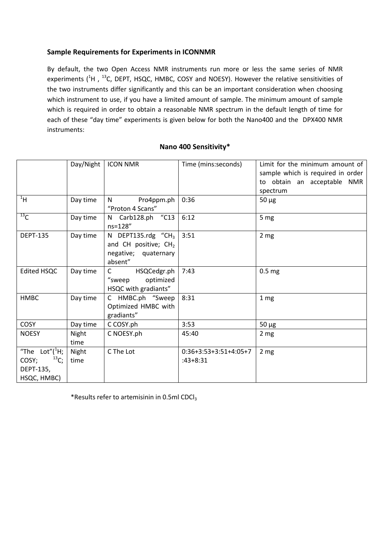## **Sample Requirements for Experiments in ICONNMR**

By default, the two Open Access NMR instruments run more or less the same series of NMR experiments  $(^{1}H$ ,  $^{13}C$ , DEPT, HSQC, HMBC, COSY and NOESY). However the relative sensitivities of the two instruments differ significantly and this can be an important consideration when choosing which instrument to use, if you have a limited amount of sample. The minimum amount of sample which is required in order to obtain a reasonable NMR spectrum in the default length of time for each of these "day time" experiments is given below for both the Nano400 and the DPX400 NMR instruments:

|                                                                     | Day/Night     | <b>ICON NMR</b>                                                                           | Time (mins:seconds)                   | Limit for the minimum amount of<br>sample which is required in order<br>to obtain an acceptable NMR<br>spectrum |
|---------------------------------------------------------------------|---------------|-------------------------------------------------------------------------------------------|---------------------------------------|-----------------------------------------------------------------------------------------------------------------|
| $\overline{H}$                                                      | Day time      | N<br>Pro4ppm.ph<br>"Proton 4 Scans"                                                       | 0:36                                  | $50 \mu g$                                                                                                      |
| $^{13}$ C                                                           | Day time      | Carb128.ph "C13<br>N.<br>ns=128"                                                          | 6:12                                  | 5 mg                                                                                                            |
| <b>DEPT-135</b>                                                     | Day time      | N DEPT135.rdg "CH <sub>3</sub><br>and CH positive; CH2<br>negative; quaternary<br>absent" | 3:51                                  | 2 <sub>mg</sub>                                                                                                 |
| <b>Edited HSQC</b>                                                  | Day time      | HSQCedgr.ph<br>C<br>optimized<br>"sweep<br>HSQC with gradiants"                           | 7:43                                  | 0.5 <sub>mg</sub>                                                                                               |
| <b>HMBC</b>                                                         | Day time      | C HMBC.ph "Sweep<br>Optimized HMBC with<br>gradiants"                                     | 8:31                                  | 1 <sub>mg</sub>                                                                                                 |
| COSY                                                                | Day time      | C COSY.ph                                                                                 | 3:53                                  | $50 \mu g$                                                                                                      |
| <b>NOESY</b>                                                        | Night<br>time | C NOESY.ph                                                                                | 45:40                                 | 2 <sub>mg</sub>                                                                                                 |
| "The Lot" $(^1H;$<br>$^{13}C;$<br>COSY;<br>DEPT-135,<br>HSQC, HMBC) | Night<br>time | C The Lot                                                                                 | $0:36+3:53+3:51+4:05+7$<br>$:43+8:31$ | 2 <sub>mg</sub>                                                                                                 |

## **Nano 400 Sensitivity\***

\*Results refer to artemisinin in 0.5ml CDCl<sub>3</sub>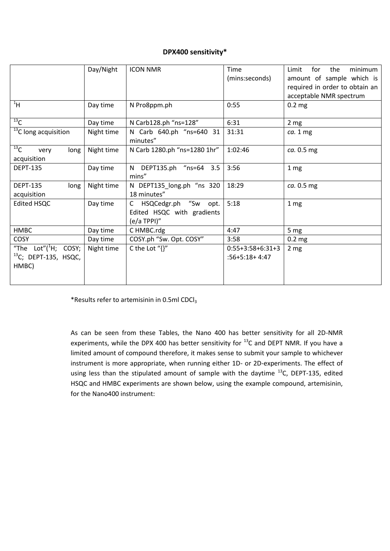## **DPX400 sensitivity\***

|                                                                     | Day/Night  | <b>ICON NMR</b>                                                         | Time                                  | for<br>minimum<br>Limit<br>the |
|---------------------------------------------------------------------|------------|-------------------------------------------------------------------------|---------------------------------------|--------------------------------|
|                                                                     |            |                                                                         | (mins:seconds)                        | amount of sample which is      |
|                                                                     |            |                                                                         |                                       | required in order to obtain an |
|                                                                     |            |                                                                         |                                       | acceptable NMR spectrum        |
| $\mathbf{H}$                                                        | Day time   | N Pro8ppm.ph                                                            | 0:55                                  | $0.2$ mg                       |
| 13 <sup>C</sup>                                                     | Day time   | N Carb128.ph "ns=128"                                                   | 6:31                                  | 2 <sub>mg</sub>                |
| $13$ C long acquisition                                             | Night time | N Carb 640.ph "ns=640 31<br>minutes"                                    | 31:31                                 | ca.1mg                         |
| 13 <sup>C</sup><br>long<br>very<br>acquisition                      | Night time | N Carb 1280.ph "ns=1280 1hr"                                            | 1:02:46                               | ca. 0.5 mg                     |
| <b>DEPT-135</b>                                                     | Day time   | N DEPT135.ph "ns=64 3.5<br>mins"                                        | 3:56                                  | 1 <sub>mg</sub>                |
| <b>DEPT-135</b><br>long<br>acquisition                              | Night time | N DEPT135_long.ph "ns 320<br>18 minutes"                                | 18:29                                 | ca. 0.5 mg                     |
| Edited HSQC                                                         | Day time   | HSQCedgr.ph "Sw opt.<br>C.<br>Edited HSQC with gradients<br>(e/a TPPI)" | 5:18                                  | 1 <sub>mg</sub>                |
| <b>HMBC</b>                                                         | Day time   | C HMBC.rdg                                                              | 4:47                                  | 5 <sub>mg</sub>                |
| <b>COSY</b>                                                         | Day time   | COSY.ph "Sw. Opt. COSY"                                                 | 3:58                                  | 0.2 <sub>mg</sub>              |
| "The Lot"( ${}^{1}$ H; COSY;<br>$^{13}$ C; DEPT-135, HSQC,<br>HMBC) | Night time | C the Lot " $\{$ '                                                      | $0:55+3:58+6:31+3$<br>$:56+5:18+4:47$ | 2 <sub>mg</sub>                |

\*Results refer to artemisinin in 0.5ml CDCl<sub>3</sub>

As can be seen from these Tables, the Nano 400 has better sensitivity for all 2D-NMR experiments, while the DPX 400 has better sensitivity for  $^{13}$ C and DEPT NMR. If you have a limited amount of compound therefore, it makes sense to submit your sample to whichever instrument is more appropriate, when running either 1D- or 2D-experiments. The effect of using less than the stipulated amount of sample with the daytime  $^{13}$ C, DEPT-135, edited HSQC and HMBC experiments are shown below, using the example compound, artemisinin, for the Nano400 instrument: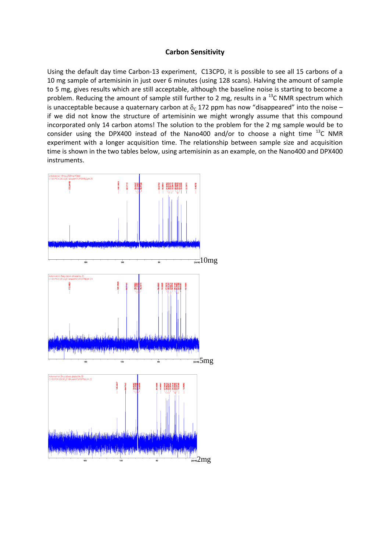#### **Carbon Sensitivity**

Using the default day time Carbon-13 experiment, C13CPD, it is possible to see all 15 carbons of a 10 mg sample of artemisinin in just over 6 minutes (using 128 scans). Halving the amount of sample to 5 mg, gives results which are still acceptable, although the baseline noise is starting to become a problem. Reducing the amount of sample still further to 2 mg, results in a  $^{13}$ C NMR spectrum which is unacceptable because a quaternary carbon at  $\delta_c$  172 ppm has now "disappeared" into the noise – if we did not know the structure of artemisinin we might wrongly assume that this compound incorporated only 14 carbon atoms! The solution to the problem for the 2 mg sample would be to consider using the DPX400 instead of the Nano400 and/or to choose a night time  $^{13}$ C NMR experiment with a longer acquisition time. The relationship between sample size and acquisition time is shown in the two tables below, using artemisinin as an example, on the Nano400 and DPX400 instruments.

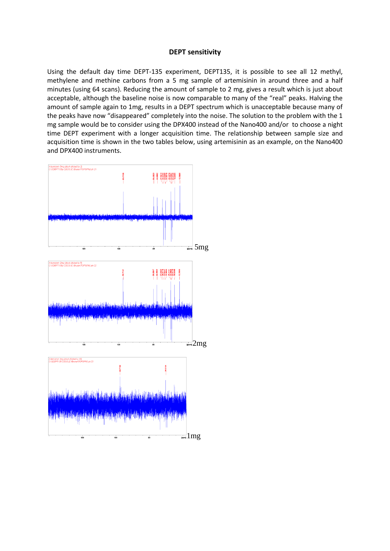#### **DEPT sensitivity**

Using the default day time DEPT-135 experiment, DEPT135, it is possible to see all 12 methyl, methylene and methine carbons from a 5 mg sample of artemisinin in around three and a half minutes (using 64 scans). Reducing the amount of sample to 2 mg, gives a result which is just about acceptable, although the baseline noise is now comparable to many of the "real" peaks. Halving the amount of sample again to 1mg, results in a DEPT spectrum which is unacceptable because many of the peaks have now "disappeared" completely into the noise. The solution to the problem with the 1 mg sample would be to consider using the DPX400 instead of the Nano400 and/or to choose a night time DEPT experiment with a longer acquisition time. The relationship between sample size and acquisition time is shown in the two tables below, using artemisinin as an example, on the Nano400 and DPX400 instruments.

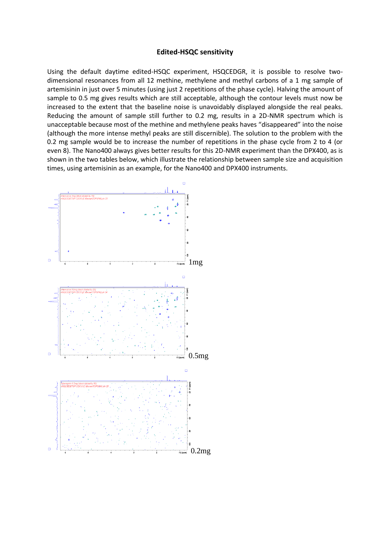#### **Edited-HSQC sensitivity**

Using the default daytime edited-HSQC experiment, HSQCEDGR, it is possible to resolve twodimensional resonances from all 12 methine, methylene and methyl carbons of a 1 mg sample of artemisinin in just over 5 minutes (using just 2 repetitions of the phase cycle). Halving the amount of sample to 0.5 mg gives results which are still acceptable, although the contour levels must now be increased to the extent that the baseline noise is unavoidably displayed alongside the real peaks. Reducing the amount of sample still further to 0.2 mg, results in a 2D-NMR spectrum which is unacceptable because most of the methine and methylene peaks haves "disappeared" into the noise (although the more intense methyl peaks are still discernible). The solution to the problem with the 0.2 mg sample would be to increase the number of repetitions in the phase cycle from 2 to 4 (or even 8). The Nano400 always gives better results for this 2D-NMR experiment than the DPX400, as is shown in the two tables below, which illustrate the relationship between sample size and acquisition times, using artemisinin as an example, for the Nano400 and DPX400 instruments.

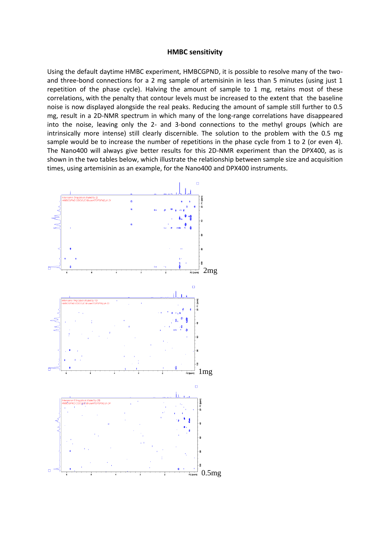#### **HMBC sensitivity**

Using the default daytime HMBC experiment, HMBCGPND, it is possible to resolve many of the twoand three-bond connections for a 2 mg sample of artemisinin in less than 5 minutes (using just 1 repetition of the phase cycle). Halving the amount of sample to 1 mg, retains most of these correlations, with the penalty that contour levels must be increased to the extent that the baseline noise is now displayed alongside the real peaks. Reducing the amount of sample still further to 0.5 mg, result in a 2D-NMR spectrum in which many of the long-range correlations have disappeared into the noise, leaving only the 2- and 3-bond connections to the methyl groups (which are intrinsically more intense) still clearly discernible. The solution to the problem with the 0.5 mg sample would be to increase the number of repetitions in the phase cycle from 1 to 2 (or even 4). The Nano400 will always give better results for this 2D-NMR experiment than the DPX400, as is shown in the two tables below, which illustrate the relationship between sample size and acquisition times, using artemisinin as an example, for the Nano400 and DPX400 instruments.

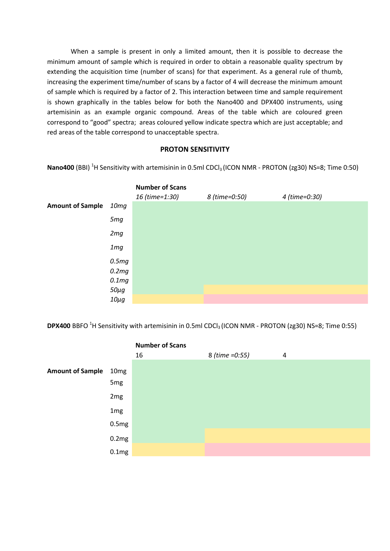When a sample is present in only a limited amount, then it is possible to decrease the minimum amount of sample which is required in order to obtain a reasonable quality spectrum by extending the acquisition time (number of scans) for that experiment. As a general rule of thumb, increasing the experiment time/number of scans by a factor of 4 will decrease the minimum amount of sample which is required by a factor of 2. This interaction between time and sample requirement is shown graphically in the tables below for both the Nano400 and DPX400 instruments, using artemisinin as an example organic compound. Areas of the table which are coloured green correspond to "good" spectra; areas coloured yellow indicate spectra which are just acceptable; and red areas of the table correspond to unacceptable spectra.

### **PROTON SENSITIVITY**

**Nano400** (BBI) <sup>1</sup>H Sensitivity with artemisinin in 0.5ml CDCl<sub>3</sub> (ICON NMR - PROTON (zg30) NS=8; Time 0:50)



**DPX400** BBFO <sup>1</sup>H Sensitivity with artemisinin in 0.5ml CDCl<sub>3</sub> (ICON NMR - PROTON (zg30) NS=8; Time 0:55)

|                         |                   | <b>Number of Scans</b> |                 |   |
|-------------------------|-------------------|------------------------|-----------------|---|
|                         |                   | 16                     | 8 (time = 0:55) | 4 |
| <b>Amount of Sample</b> | 10 <sub>mg</sub>  |                        |                 |   |
|                         | 5 <sub>mg</sub>   |                        |                 |   |
|                         | 2 <sub>mg</sub>   |                        |                 |   |
|                         | 1 <sub>mg</sub>   |                        |                 |   |
|                         | 0.5mg             |                        |                 |   |
|                         | 0.2mg             |                        |                 |   |
|                         | 0.1 <sub>mg</sub> |                        |                 |   |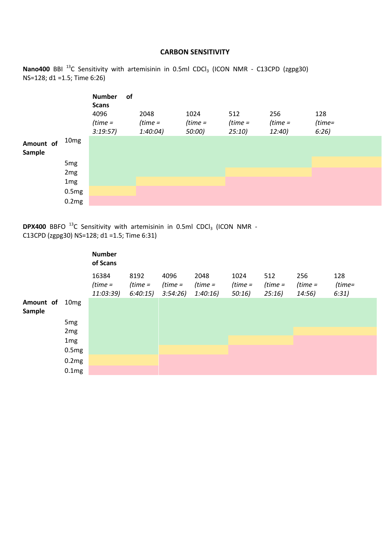#### **CARBON SENSITIVITY**

Nano400 BBI <sup>13</sup>C Sensitivity with artemisinin in 0.5ml CDCl<sub>3</sub> (ICON NMR - C13CPD (zgpg30) NS=128; d1 =1.5; Time 6:26)

|                     |                                    | <b>Number</b><br><b>Scans</b><br>4096<br>$(time =$<br>3:19:57 | of | 2048<br>$(time =$<br>1:40:04 | 1024<br>$(time =$<br>50:00) | 512<br>$(time =$<br>25:10 | 256<br>$(time =$<br>12:40 | 128<br>$(time=$<br>6:26 |
|---------------------|------------------------------------|---------------------------------------------------------------|----|------------------------------|-----------------------------|---------------------------|---------------------------|-------------------------|
| Amount of<br>Sample | 10 <sub>mg</sub>                   |                                                               |    |                              |                             |                           |                           |                         |
|                     | 5 <sub>mg</sub>                    |                                                               |    |                              |                             |                           |                           |                         |
|                     | 2 <sub>mg</sub><br>1 <sub>mg</sub> |                                                               |    |                              |                             |                           |                           |                         |
|                     | 0.5mg                              |                                                               |    |                              |                             |                           |                           |                         |
|                     | 0.2mg                              |                                                               |    |                              |                             |                           |                           |                         |

**DPX400** BBFO <sup>13</sup>C Sensitivity with artemisinin in 0.5ml CDCl<sub>3</sub> (ICON NMR -C13CPD (zgpg30) NS=128; d1 =1.5; Time 6:31)

|                            |                                                                                  | <b>Number</b><br>of Scans       |                              |                              |                              |                            |                           |                            |                          |
|----------------------------|----------------------------------------------------------------------------------|---------------------------------|------------------------------|------------------------------|------------------------------|----------------------------|---------------------------|----------------------------|--------------------------|
|                            |                                                                                  | 16384<br>$(time =$<br>11:03:39) | 8192<br>$(time =$<br>6:40:15 | 4096<br>$(time =$<br>3:54:26 | 2048<br>$(time =$<br>1:40:16 | 1024<br>$(time =$<br>50:16 | 512<br>$(time =$<br>25:16 | 256<br>$(time =$<br>14:56) | 128<br>$(time=$<br>6:31) |
| Amount of<br><b>Sample</b> | 10 <sub>mg</sub>                                                                 |                                 |                              |                              |                              |                            |                           |                            |                          |
|                            | 5 <sub>mg</sub><br>2 <sub>mg</sub><br>1 <sub>mg</sub><br>0.5mg<br>0.2mg<br>0.1mg |                                 |                              |                              |                              |                            |                           |                            |                          |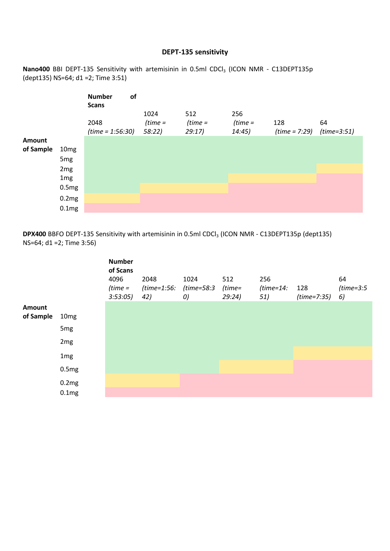## **DEPT-135 sensitivity**

|           |                  | <b>Number</b><br><b>Scans</b><br>2048 | of | 1024<br>$(time =$ | 512<br>$(time =$ | 256<br>$(time =$ | 128             | 64            |
|-----------|------------------|---------------------------------------|----|-------------------|------------------|------------------|-----------------|---------------|
|           |                  | $(time = 1:56:30)$                    |    | 58:22             | 29:17            | 14:45)           | $(time = 7:29)$ | $(time=3:51)$ |
| Amount    |                  |                                       |    |                   |                  |                  |                 |               |
| of Sample | 10 <sub>mg</sub> |                                       |    |                   |                  |                  |                 |               |
|           | 5 <sub>mg</sub>  |                                       |    |                   |                  |                  |                 |               |
|           | 2 <sub>mg</sub>  |                                       |    |                   |                  |                  |                 |               |
|           | 1 <sub>mg</sub>  |                                       |    |                   |                  |                  |                 |               |
|           | 0.5mg            |                                       |    |                   |                  |                  |                 |               |
|           | 0.2mg            |                                       |    |                   |                  |                  |                 |               |
|           | 0.1mg            |                                       |    |                   |                  |                  |                 |               |

Nano400 BBI DEPT-135 Sensitivity with artemisinin in 0.5ml CDCl<sub>3</sub> (ICON NMR - C13DEPT135p (dept135) NS=64; d1 =2; Time 3:51)

**DPX400** BBFO DEPT-135 Sensitivity with artemisinin in 0.5ml CDCl<sub>3</sub> (ICON NMR - C13DEPT135p (dept135) NS=64; d1 =2; Time 3:56)

|           |                  | <b>Number</b><br>of Scans<br>4096<br>$(time =$<br>3:53:05 | 2048<br>(time=1:56:<br>42) | 1024<br>$(time=58:3$<br>$\left( 0\right)$ | 512<br>$(time=$<br>29:24) | 256<br>$(time=14.2)$<br>51) | 128<br>$(time=7:35)$ | 64<br>$(time=3:5$<br>6) |
|-----------|------------------|-----------------------------------------------------------|----------------------------|-------------------------------------------|---------------------------|-----------------------------|----------------------|-------------------------|
| Amount    |                  |                                                           |                            |                                           |                           |                             |                      |                         |
| of Sample | 10 <sub>mg</sub> |                                                           |                            |                                           |                           |                             |                      |                         |
|           | 5 <sub>mg</sub>  |                                                           |                            |                                           |                           |                             |                      |                         |
|           | 2 <sub>mg</sub>  |                                                           |                            |                                           |                           |                             |                      |                         |
|           | 1 <sub>mg</sub>  |                                                           |                            |                                           |                           |                             |                      |                         |
|           | 0.5mg            |                                                           |                            |                                           |                           |                             |                      |                         |
|           | 0.2mg<br>0.1mg   |                                                           |                            |                                           |                           |                             |                      |                         |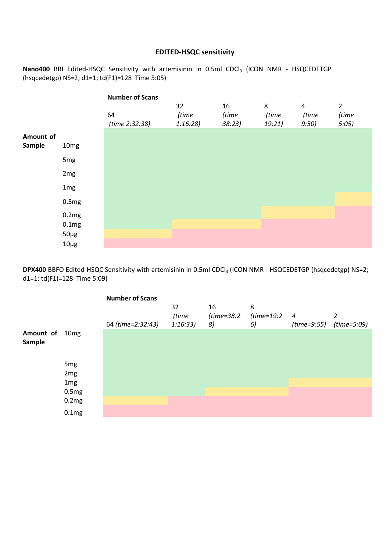## **EDITED-HSQC sensitivity**

|                     |                                          | <b>Number of Scans</b> |                        |                      |                      |                            |                                 |
|---------------------|------------------------------------------|------------------------|------------------------|----------------------|----------------------|----------------------------|---------------------------------|
|                     |                                          | 64<br>(time 2:32:38)   | 32<br>(time<br>1:16:28 | 16<br>(time<br>38:23 | 8<br>(time<br>19:21) | $\pmb{4}$<br>(time<br>9:50 | $\overline{2}$<br>(time<br>5:05 |
| Amount of<br>Sample | 10 <sub>mg</sub>                         |                        |                        |                      |                      |                            |                                 |
|                     | 5 <sub>mg</sub>                          |                        |                        |                      |                      |                            |                                 |
|                     | 2 <sub>mg</sub>                          |                        |                        |                      |                      |                            |                                 |
|                     | 1 <sub>mg</sub>                          |                        |                        |                      |                      |                            |                                 |
|                     | 0.5mg                                    |                        |                        |                      |                      |                            |                                 |
|                     | 0.2mg<br>0.1 <sub>mg</sub><br>$50 \mu g$ |                        |                        |                      |                      |                            |                                 |
|                     | $10\mu g$                                |                        |                        |                      |                      |                            |                                 |

Nano400 BBI Edited-HSQC Sensitivity with artemisinin in 0.5ml CDCl<sub>3</sub> (ICON NMR - HSQCEDETGP (hsqcedetgp) NS=2; d1=1; td(F1)=128 Time 5:05)

**DPX400** BBFO Edited-HSQC Sensitivity with artemisinin in 0.5ml CDCl<sub>3</sub> (ICON NMR - HSQCEDETGP (hsqcedetgp) NS=2; d1=1; td(F1)=128 Time 5:09)

|                     |                                                                | <b>Number of Scans</b><br>64 (time=2:32:43) | 32<br>(time<br>1:16:33) | 16<br>$(time=38:2$<br>8) | 8<br>(time=19:2<br>6) | $\overline{a}$<br>(time=9:55) | 2<br>$(time=5:09)$ |
|---------------------|----------------------------------------------------------------|---------------------------------------------|-------------------------|--------------------------|-----------------------|-------------------------------|--------------------|
| Amount of<br>Sample | 10 <sub>mg</sub>                                               |                                             |                         |                          |                       |                               |                    |
|                     | 5 <sub>mg</sub><br>2 <sub>mg</sub><br>1 <sub>mg</sub><br>0.5mg |                                             |                         |                          |                       |                               |                    |
|                     | 0.2mg<br>0.1mg                                                 |                                             |                         |                          |                       |                               |                    |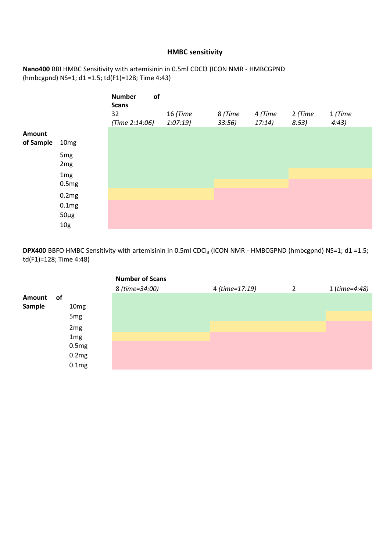## **HMBC sensitivity**

## **Nano400** BBI HMBC Sensitivity with artemisinin in 0.5ml CDCl3 (ICON NMR - HMBCGPND (hmbcgpnd) NS=1; d1 =1.5; td(F1)=128; Time 4:43)

|                     |                                    | <b>Number</b><br>of<br><b>Scans</b> |                     |                  |                   |                  |                    |
|---------------------|------------------------------------|-------------------------------------|---------------------|------------------|-------------------|------------------|--------------------|
|                     |                                    | 32<br>(Time 2:14:06)                | 16 (Time<br>1:07:19 | 8 (Time<br>33:56 | 4 (Time<br>17:14) | 2 (Time<br>8:53) | $1$ (Time<br>4:43) |
| Amount<br>of Sample | 10 <sub>mg</sub>                   |                                     |                     |                  |                   |                  |                    |
|                     | 5 <sub>mg</sub><br>2 <sub>mg</sub> |                                     |                     |                  |                   |                  |                    |
|                     | 1 <sub>mg</sub><br>0.5mg           |                                     |                     |                  |                   |                  |                    |
|                     | 0.2mg<br>0.1 <sub>mg</sub>         |                                     |                     |                  |                   |                  |                    |
|                     | $50 \mu g$<br>10 <sub>g</sub>      |                                     |                     |                  |                   |                  |                    |

**DPX400** BBFO HMBC Sensitivity with artemisinin in 0.5ml CDCl<sub>3</sub> (ICON NMR - HMBCGPND (hmbcgpnd) NS=1; d1 =1.5; td(F1)=128; Time 4:48)

|        |                   | <b>Number of Scans</b> |                |                |                 |
|--------|-------------------|------------------------|----------------|----------------|-----------------|
|        |                   | 8 (time=34:00)         | 4 (time=17:19) | $\overline{2}$ | $1 (time=4:48)$ |
| Amount | <b>of</b>         |                        |                |                |                 |
| Sample | 10 <sub>mg</sub>  |                        |                |                |                 |
|        | 5 <sub>mg</sub>   |                        |                |                |                 |
|        | 2 <sub>mg</sub>   |                        |                |                |                 |
|        | 1 <sub>mg</sub>   |                        |                |                |                 |
|        | 0.5mg             |                        |                |                |                 |
|        | 0.2mg             |                        |                |                |                 |
|        | 0.1 <sub>mg</sub> |                        |                |                |                 |
|        |                   |                        |                |                |                 |